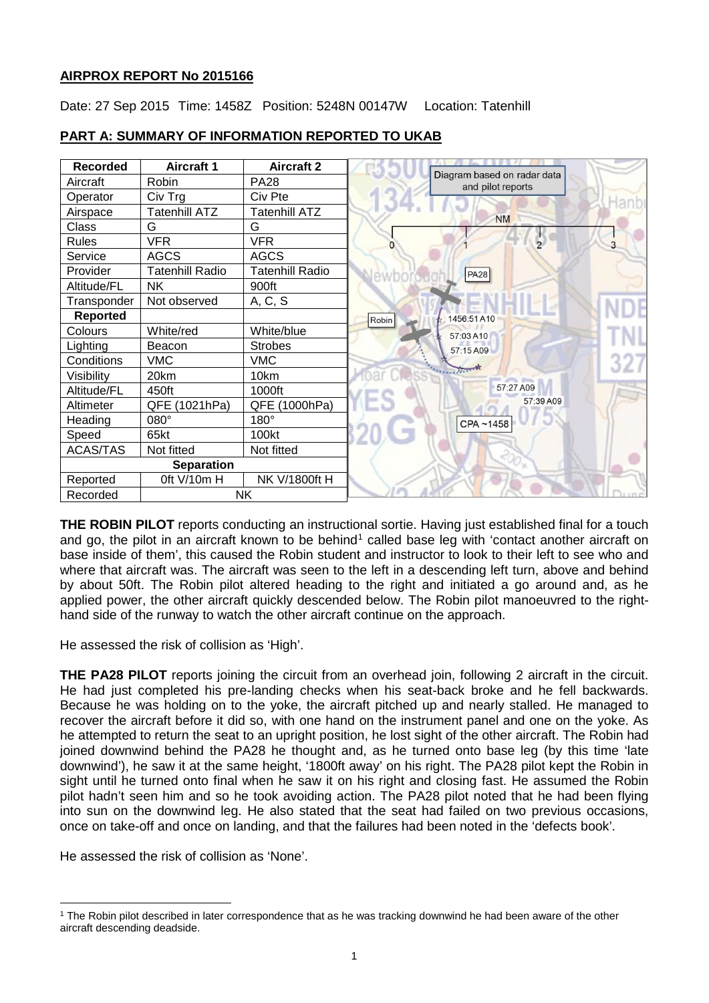# **AIRPROX REPORT No 2015166**

Date: 27 Sep 2015 Time: 1458Z Position: 5248N 00147W Location: Tatenhill

| <b>Recorded</b>       | <b>Aircraft 1</b>       | <b>Aircraft 2</b>      |                                                  |
|-----------------------|-------------------------|------------------------|--------------------------------------------------|
| Aircraft              | Robin                   | <b>PA28</b>            | Diagram based on radar data<br>and pilot reports |
| Operator              | Civ Trg                 | Civ Pte                |                                                  |
| Airspace              | Tatenhill ATZ           | <b>Tatenhill ATZ</b>   | <b>NM</b>                                        |
| Class                 | G                       | G                      |                                                  |
| <b>Rules</b>          | <b>VFR</b>              | <b>VFR</b>             | 3<br>$\overline{2}$<br>0                         |
| Service               | <b>AGCS</b>             | <b>AGCS</b>            |                                                  |
| Provider              | <b>Tatenhill Radio</b>  | <b>Tatenhill Radio</b> | <b>PA28</b>                                      |
| Altitude/FL           | <b>NK</b>               | 900ft                  |                                                  |
| Transponder           | Not observed            | A, C, S                |                                                  |
| <b>Reported</b>       |                         |                        | 1456:51A10<br>Robin                              |
| Colours               | White/red               | White/blue             | 57:03 A10                                        |
| Lighting              | Beacon                  | <b>Strobes</b>         | 57:15 A09                                        |
| Conditions            | <b>VMC</b>              | <b>VMC</b>             |                                                  |
| Visibility            | 20km                    | 10km                   | $\frac{1}{2}$                                    |
| Altitude/FL           | 450ft                   | 1000ft                 | 57:27 A09                                        |
| Altimeter             | <b>QFE</b><br>(1021hPa) | (1000hPa)<br>QFE       | 57:39 A09                                        |
| Heading               | 080°                    | 180°                   | CPA~1458                                         |
| Speed                 | 65kt                    | 100 <sub>kt</sub>      |                                                  |
| <b>ACAS/TAS</b>       | Not fitted              | Not fitted             |                                                  |
| <b>Separation</b>     |                         |                        |                                                  |
| Reported              | Oft V/10m H             | NK V/1800ft H          |                                                  |
| <b>NK</b><br>Recorded |                         |                        |                                                  |

# **PART A: SUMMARY OF INFORMATION REPORTED TO UKAB**

**THE ROBIN PILOT** reports conducting an instructional sortie. Having just established final for a touch and go, the pilot in an aircraft known to be behind<sup>[1](#page-0-0)</sup> called base leg with 'contact another aircraft on base inside of them', this caused the Robin student and instructor to look to their left to see who and where that aircraft was. The aircraft was seen to the left in a descending left turn, above and behind by about 50ft. The Robin pilot altered heading to the right and initiated a go around and, as he applied power, the other aircraft quickly descended below. The Robin pilot manoeuvred to the righthand side of the runway to watch the other aircraft continue on the approach.

He assessed the risk of collision as 'High'.

**THE PA28 PILOT** reports joining the circuit from an overhead join, following 2 aircraft in the circuit. He had just completed his pre-landing checks when his seat-back broke and he fell backwards. Because he was holding on to the yoke, the aircraft pitched up and nearly stalled. He managed to recover the aircraft before it did so, with one hand on the instrument panel and one on the yoke. As he attempted to return the seat to an upright position, he lost sight of the other aircraft. The Robin had joined downwind behind the PA28 he thought and, as he turned onto base leg (by this time 'late downwind'), he saw it at the same height, '1800ft away' on his right. The PA28 pilot kept the Robin in sight until he turned onto final when he saw it on his right and closing fast. He assumed the Robin pilot hadn't seen him and so he took avoiding action. The PA28 pilot noted that he had been flying into sun on the downwind leg. He also stated that the seat had failed on two previous occasions, once on take-off and once on landing, and that the failures had been noted in the 'defects book'.

He assessed the risk of collision as 'None'.

l

<span id="page-0-0"></span><sup>&</sup>lt;sup>1</sup> The Robin pilot described in later correspondence that as he was tracking downwind he had been aware of the other aircraft descending deadside.